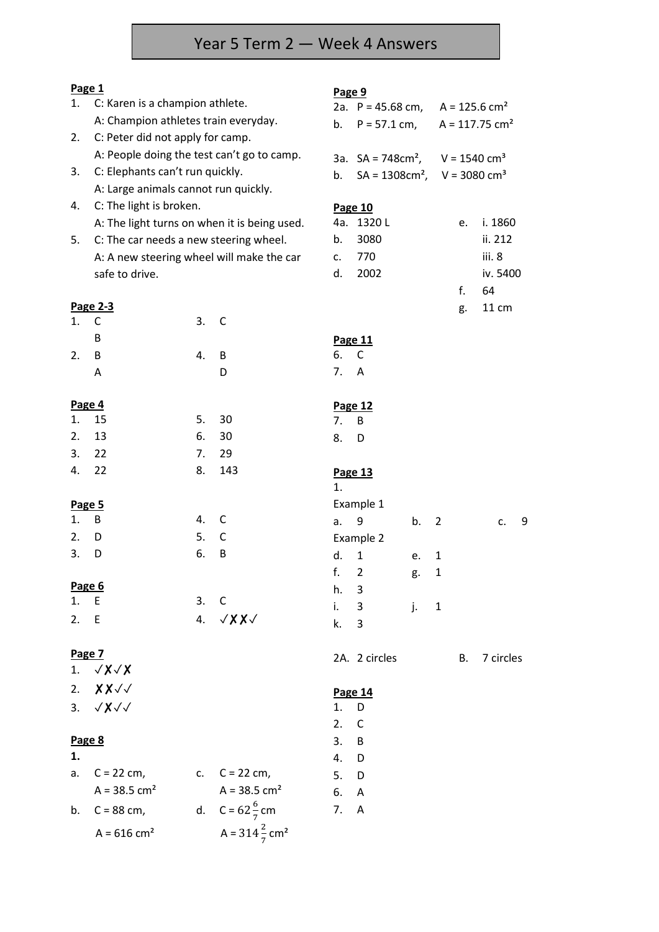# Year 5 Term 2 — Week 4 Answers

# **Page 1**

| Page 1 |                                              |      |                                      | Page 9 |                                                    |    |              |    |                              |   |
|--------|----------------------------------------------|------|--------------------------------------|--------|----------------------------------------------------|----|--------------|----|------------------------------|---|
| 1.     | C: Karen is a champion athlete.              |      |                                      |        | 2a. $P = 45.68$ cm,                                |    |              |    | $A = 125.6$ cm <sup>2</sup>  |   |
|        | A: Champion athletes train everyday.         |      |                                      | b.     | $P = 57.1$ cm,                                     |    |              |    | $A = 117.75$ cm <sup>2</sup> |   |
| 2.     | C: Peter did not apply for camp.             |      |                                      |        |                                                    |    |              |    |                              |   |
|        | A: People doing the test can't go to camp.   |      |                                      |        | 3a. $SA = 748 \text{cm}^2$ ,                       |    |              |    | $V = 1540$ cm <sup>3</sup>   |   |
| 3.     | C: Elephants can't run quickly.              |      |                                      | b.     | $SA = 1308 \text{cm}^2$ , V = 3080 cm <sup>3</sup> |    |              |    |                              |   |
|        | A: Large animals cannot run quickly.         |      |                                      |        |                                                    |    |              |    |                              |   |
| 4.     | C: The light is broken.                      |      |                                      |        | <b>Page 10</b>                                     |    |              |    |                              |   |
|        | A: The light turns on when it is being used. |      |                                      |        | 4a. 1320L                                          |    |              | e. | i. 1860                      |   |
| 5.     | C: The car needs a new steering wheel.       |      |                                      | b.     | 3080                                               |    |              |    | ii. 212                      |   |
|        | A: A new steering wheel will make the car    |      |                                      | c.     | 770                                                |    |              |    | iii. 8                       |   |
|        | safe to drive.                               |      |                                      | d.     | 2002                                               |    |              |    | iv. 5400                     |   |
|        |                                              |      |                                      |        |                                                    |    |              | f. | 64                           |   |
|        | Page 2-3                                     |      |                                      |        |                                                    |    |              | g. | 11 cm                        |   |
| 1.     | C                                            | 3.   | C                                    |        |                                                    |    |              |    |                              |   |
|        | B                                            |      |                                      |        | Page 11                                            |    |              |    |                              |   |
| 2.     | B                                            | 4.   | B                                    | 6.     | C                                                  |    |              |    |                              |   |
|        | A                                            |      | D                                    | 7.     | A                                                  |    |              |    |                              |   |
| Page 4 |                                              |      |                                      |        | Page 12                                            |    |              |    |                              |   |
| 1.     | 15                                           | 5.   | 30                                   | 7.     | B                                                  |    |              |    |                              |   |
| 2.     | 13                                           | 6.   | 30                                   | 8.     | D                                                  |    |              |    |                              |   |
| 3.     | 22                                           | 7.   | 29                                   |        |                                                    |    |              |    |                              |   |
| 4.     | 22                                           | 8.   | 143                                  | 1.     | Page 13                                            |    |              |    |                              |   |
| Page 5 |                                              |      |                                      |        | Example 1                                          |    |              |    |                              |   |
| 1.     | B                                            | 4.   | C                                    | a.     | 9                                                  | b. | 2            |    | c.                           | 9 |
| 2.     | D                                            | 5.   | C                                    |        | Example 2                                          |    |              |    |                              |   |
| 3.     | D                                            | 6.   | B                                    | d.     | $\mathbf{1}$                                       | е. | 1            |    |                              |   |
|        |                                              |      |                                      | f.     | $\overline{2}$                                     | g. | $\mathbf 1$  |    |                              |   |
| Page 6 |                                              |      |                                      | h.     | 3                                                  |    |              |    |                              |   |
| 1.     | E                                            | 3. C |                                      | i.     | 3                                                  | j. | $\mathbf{1}$ |    |                              |   |
| 2. E   |                                              |      | 4. $\sqrt{XX}$                       | k.     | 3                                                  |    |              |    |                              |   |
| Page 7 |                                              |      |                                      |        | 2A. 2 circles                                      |    |              | В. | 7 circles                    |   |
|        | 1. $\sqrt{x} \sqrt{x}$                       |      |                                      |        |                                                    |    |              |    |                              |   |
|        | 2. $X X \sqrt{2}$                            |      |                                      |        | Page 14                                            |    |              |    |                              |   |
|        | 3. $\sqrt{x}\sqrt{x}$                        |      |                                      | 1.     | D                                                  |    |              |    |                              |   |
|        |                                              |      |                                      | 2.     | $\mathsf{C}$                                       |    |              |    |                              |   |
| Page 8 |                                              |      |                                      | 3.     | B                                                  |    |              |    |                              |   |
| 1.     |                                              |      |                                      | 4.     | D                                                  |    |              |    |                              |   |
| a.     | $C = 22$ cm,                                 |      | c. $C = 22 \text{ cm}$ ,             | 5.     | $\Box$                                             |    |              |    |                              |   |
|        | $A = 38.5$ cm <sup>2</sup>                   |      | $A = 38.5$ cm <sup>2</sup>           | 6.     | - A                                                |    |              |    |                              |   |
| b.     | $C = 88$ cm,                                 |      | d. $C = 62\frac{6}{7}$ cm            | 7.     | $\overline{A}$                                     |    |              |    |                              |   |
|        | $A = 616$ cm <sup>2</sup>                    |      | A = $314\frac{2}{7}$ cm <sup>2</sup> |        |                                                    |    |              |    |                              |   |